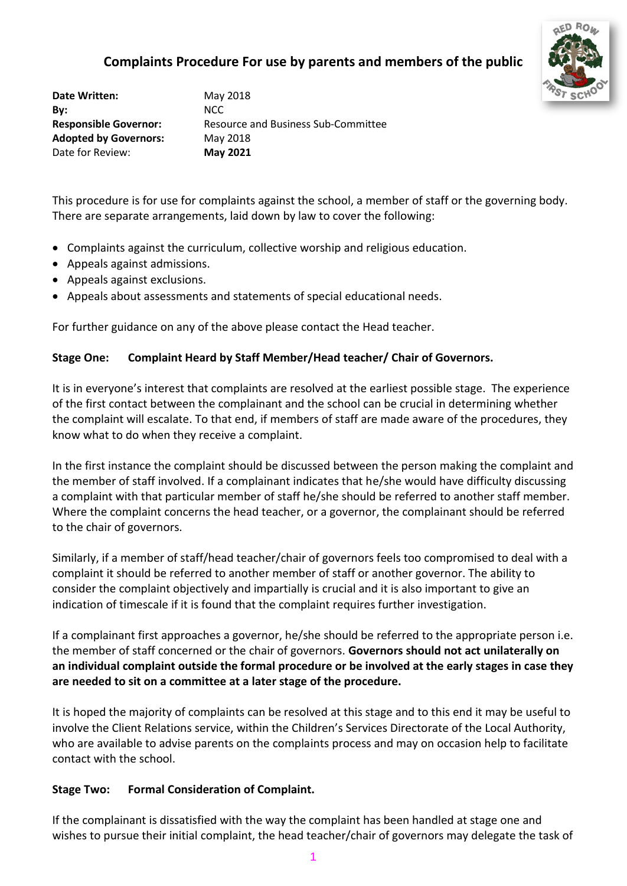# **Complaints Procedure For use by parents and members of the public**



**Date Written:** May 2018 **By:** NCC **Adopted by Governors:** May 2018 Date for Review: **May 2021**

**Responsible Governor:** Resource and Business Sub-Committee

This procedure is for use for complaints against the school, a member of staff or the governing body. There are separate arrangements, laid down by law to cover the following:

- Complaints against the curriculum, collective worship and religious education.
- Appeals against admissions.
- Appeals against exclusions.
- Appeals about assessments and statements of special educational needs.

For further guidance on any of the above please contact the Head teacher.

#### **Stage One: Complaint Heard by Staff Member/Head teacher/ Chair of Governors.**

It is in everyone's interest that complaints are resolved at the earliest possible stage. The experience of the first contact between the complainant and the school can be crucial in determining whether the complaint will escalate. To that end, if members of staff are made aware of the procedures, they know what to do when they receive a complaint.

In the first instance the complaint should be discussed between the person making the complaint and the member of staff involved. If a complainant indicates that he/she would have difficulty discussing a complaint with that particular member of staff he/she should be referred to another staff member. Where the complaint concerns the head teacher, or a governor, the complainant should be referred to the chair of governors.

Similarly, if a member of staff/head teacher/chair of governors feels too compromised to deal with a complaint it should be referred to another member of staff or another governor. The ability to consider the complaint objectively and impartially is crucial and it is also important to give an indication of timescale if it is found that the complaint requires further investigation.

If a complainant first approaches a governor, he/she should be referred to the appropriate person i.e. the member of staff concerned or the chair of governors. **Governors should not act unilaterally on an individual complaint outside the formal procedure or be involved at the early stages in case they are needed to sit on a committee at a later stage of the procedure.**

It is hoped the majority of complaints can be resolved at this stage and to this end it may be useful to involve the Client Relations service, within the Children's Services Directorate of the Local Authority, who are available to advise parents on the complaints process and may on occasion help to facilitate contact with the school.

#### **Stage Two: Formal Consideration of Complaint.**

If the complainant is dissatisfied with the way the complaint has been handled at stage one and wishes to pursue their initial complaint, the head teacher/chair of governors may delegate the task of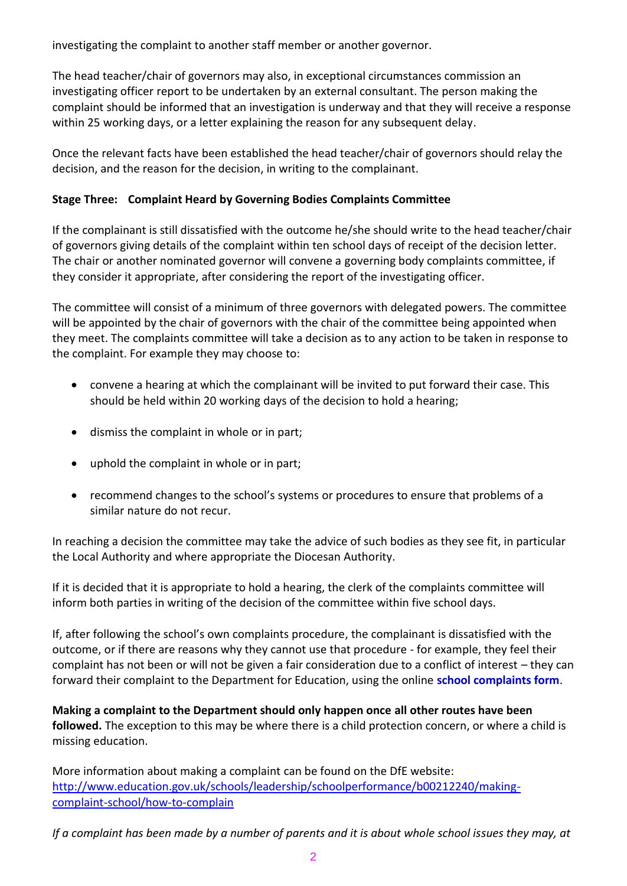investigating the complaint to another staff member or another governor.

The head teacher/chair of governors may also, in exceptional circumstances commission an investigating officer report to be undertaken by an external consultant. The person making the complaint should be informed that an investigation is underway and that they will receive a response within 25 working days, or a letter explaining the reason for any subsequent delay.

Once the relevant facts have been established the head teacher/chair of governors should relay the decision, and the reason for the decision, in writing to the complainant.

### **Stage Three: Complaint Heard by Governing Bodies Complaints Committee**

If the complainant is still dissatisfied with the outcome he/she should write to the head teacher/chair of governors giving details of the complaint within ten school days of receipt of the decision letter. The chair or another nominated governor will convene a governing body complaints committee, if they consider it appropriate, after considering the report of the investigating officer.

The committee will consist of a minimum of three governors with delegated powers. The committee will be appointed by the chair of governors with the chair of the committee being appointed when they meet. The complaints committee will take a decision as to any action to be taken in response to the complaint. For example they may choose to:

- convene a hearing at which the complainant will be invited to put forward their case. This should be held within 20 working days of the decision to hold a hearing;
- dismiss the complaint in whole or in part;
- uphold the complaint in whole or in part;
- recommend changes to the school's systems or procedures to ensure that problems of a similar nature do not recur.

In reaching a decision the committee may take the advice of such bodies as they see fit, in particular the Local Authority and where appropriate the Diocesan Authority.

If it is decided that it is appropriate to hold a hearing, the clerk of the complaints committee will inform both parties in writing of the decision of the committee within five school days.

If, after following the school's own complaints procedure, the complainant is dissatisfied with the outcome, or if there are reasons why they cannot use that procedure - for example, they feel their complaint has not been or will not be given a fair consideration due to a conflict of interest – they can forward their complaint to the Department for Education, using the online **[school complaints form](http://www.education.gov.uk/school-complaints-form)**.

**Making a complaint to the Department should only happen once all other routes have been followed.** The exception to this may be where there is a child protection concern, or where a child is missing education.

More information about making a complaint can be found on the DfE website: [http://www.education.gov.uk/schools/leadership/schoolperformance/b00212240/making](http://www.education.gov.uk/schools/leadership/schoolperformance/b00212240/making-complaint-school/how-to-complain)[complaint-school/how-to-complain](http://www.education.gov.uk/schools/leadership/schoolperformance/b00212240/making-complaint-school/how-to-complain)

*If a complaint has been made by a number of parents and it is about whole school issues they may, at*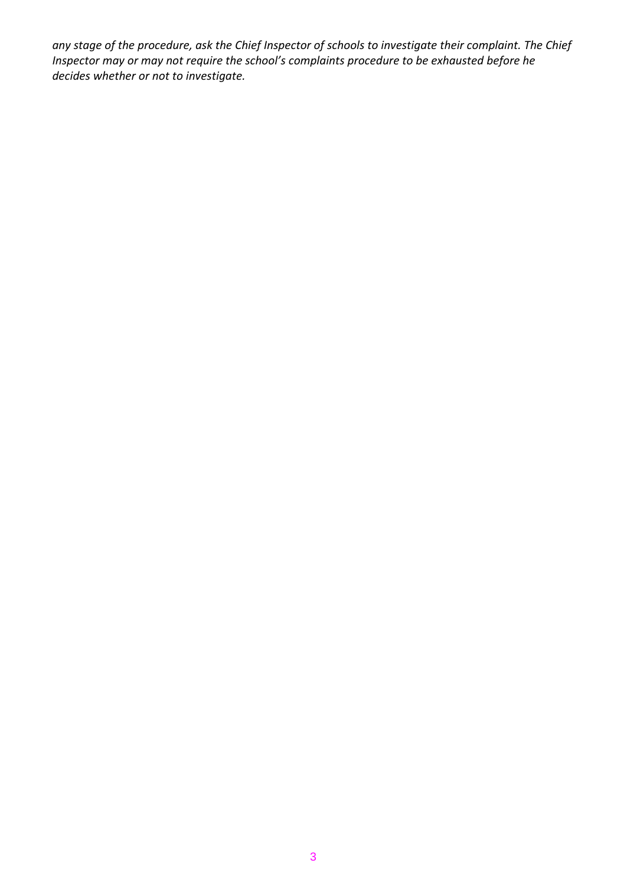*any stage of the procedure, ask the Chief Inspector of schools to investigate their complaint. The Chief Inspector may or may not require the school's complaints procedure to be exhausted before he decides whether or not to investigate.*